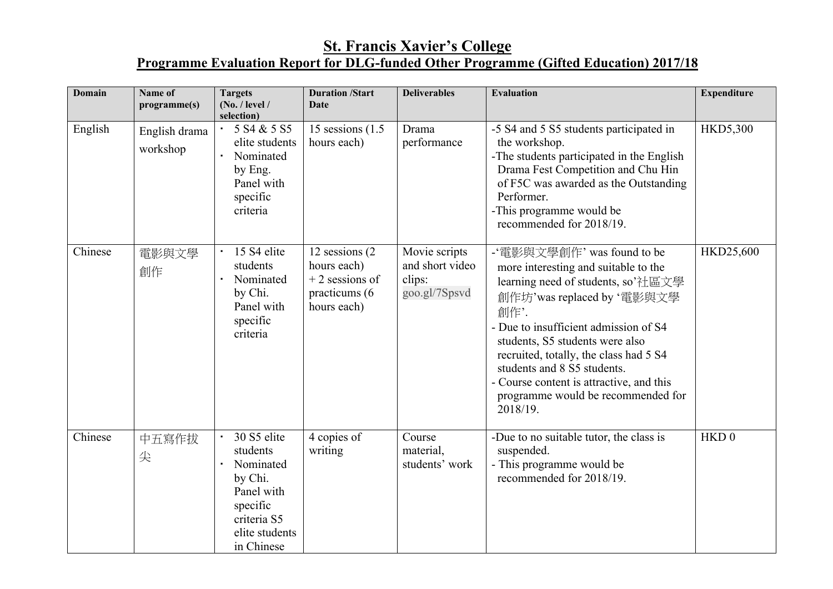## **St. Francis Xavier's College Programme Evaluation Report for DLG-funded Other Programme (Gifted Education) 2017/18**

| <b>Domain</b> | Name of<br>programme(s)   | <b>Targets</b><br>(No. / level /<br>selection)                                                                                        | <b>Duration /Start</b><br><b>Date</b>                                              | <b>Deliverables</b>                                         | <b>Evaluation</b>                                                                                                                                                                                                                                                                                                                                                                                 | <b>Expenditure</b> |
|---------------|---------------------------|---------------------------------------------------------------------------------------------------------------------------------------|------------------------------------------------------------------------------------|-------------------------------------------------------------|---------------------------------------------------------------------------------------------------------------------------------------------------------------------------------------------------------------------------------------------------------------------------------------------------------------------------------------------------------------------------------------------------|--------------------|
| English       | English drama<br>workshop | 5 S4 & 5 S5<br>$\bullet$<br>elite students<br>Nominated<br>by Eng.<br>Panel with<br>specific<br>criteria                              | 15 sessions $(1.5)$<br>hours each)                                                 | Drama<br>performance                                        | -5 S4 and 5 S5 students participated in<br>the workshop.<br>-The students participated in the English<br>Drama Fest Competition and Chu Hin<br>of F5C was awarded as the Outstanding<br>Performer.<br>-This programme would be<br>recommended for 2018/19.                                                                                                                                        | <b>HKD5,300</b>    |
| Chinese       | 電影與文學<br>創作               | 15 S4 elite<br>students<br>Nominated<br>by Chi.<br>Panel with<br>specific<br>criteria                                                 | 12 sessions (2)<br>hours each)<br>$+2$ sessions of<br>practicums (6<br>hours each) | Movie scripts<br>and short video<br>clips:<br>goo.gl/7Spsvd | -'電影與文學創作' was found to be<br>more interesting and suitable to the<br>learning need of students, so'社區文學<br>創作坊'was replaced by '電影與文學<br>創作'.<br>- Due to insufficient admission of S4<br>students, S5 students were also<br>recruited, totally, the class had 5 S4<br>students and 8 S5 students.<br>- Course content is attractive, and this<br>programme would be recommended for<br>2018/19. | HKD25,600          |
| Chinese       | 中五寫作拔<br>尖                | 30 S5 elite<br>$\bullet$<br>students<br>Nominated<br>by Chi.<br>Panel with<br>specific<br>criteria S5<br>elite students<br>in Chinese | 4 copies of<br>writing                                                             | Course<br>material,<br>students' work                       | -Due to no suitable tutor, the class is<br>suspended.<br>- This programme would be<br>recommended for 2018/19.                                                                                                                                                                                                                                                                                    | HKD <sub>0</sub>   |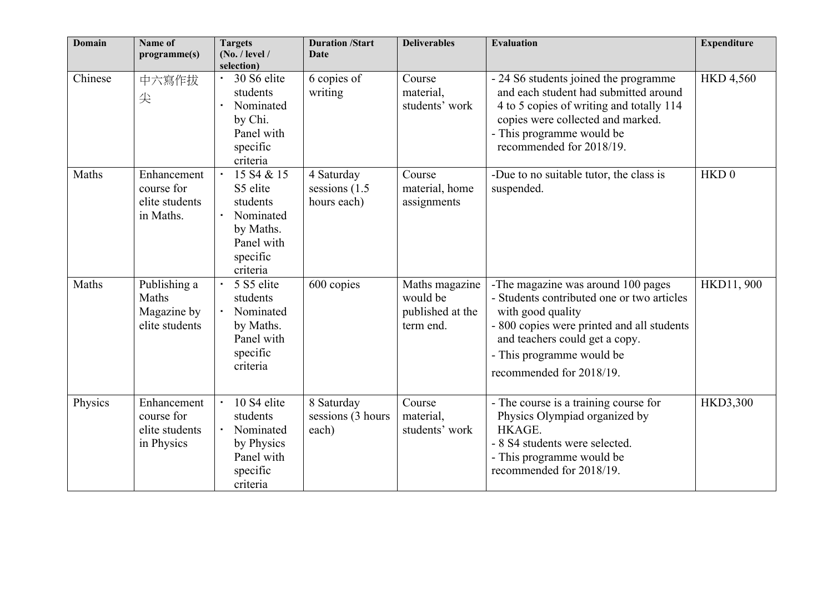| <b>Domain</b> | Name of<br>programme(s)                                   | <b>Targets</b><br>(No. / level /<br>selection)                                                                                                | <b>Duration /Start</b><br><b>Date</b>       | <b>Deliverables</b>                                         | <b>Evaluation</b>                                                                                                                                                                                                                              | <b>Expenditure</b> |
|---------------|-----------------------------------------------------------|-----------------------------------------------------------------------------------------------------------------------------------------------|---------------------------------------------|-------------------------------------------------------------|------------------------------------------------------------------------------------------------------------------------------------------------------------------------------------------------------------------------------------------------|--------------------|
| Chinese       | 中六寫作拔<br>尖                                                | 30 S6 elite<br>students<br>Nominated<br>by Chi.<br>Panel with<br>specific<br>criteria                                                         | 6 copies of<br>writing                      | Course<br>material,<br>students' work                       | - 24 S6 students joined the programme<br>and each student had submitted around<br>4 to 5 copies of writing and totally 114<br>copies were collected and marked.<br>- This programme would be<br>recommended for 2018/19.                       | <b>HKD 4,560</b>   |
| Maths         | Enhancement<br>course for<br>elite students<br>in Maths.  | 15 S <sub>4</sub> & 15<br>$\blacksquare$<br>S5 elite<br>students<br>$\bullet$<br>Nominated<br>by Maths.<br>Panel with<br>specific<br>criteria | 4 Saturday<br>sessions (1.5)<br>hours each) | Course<br>material, home<br>assignments                     | -Due to no suitable tutor, the class is<br>suspended.                                                                                                                                                                                          | HKD <sub>0</sub>   |
| Maths         | Publishing a<br>Maths<br>Magazine by<br>elite students    | 5 S5 elite<br>$\blacksquare$<br>students<br>Nominated<br>$\bullet$<br>by Maths.<br>Panel with<br>specific<br>criteria                         | 600 copies                                  | Maths magazine<br>would be<br>published at the<br>term end. | -The magazine was around 100 pages<br>- Students contributed one or two articles<br>with good quality<br>- 800 copies were printed and all students<br>and teachers could get a copy.<br>- This programme would be<br>recommended for 2018/19. | HKD11, 900         |
| Physics       | Enhancement<br>course for<br>elite students<br>in Physics | 10 S4 elite<br>$\blacksquare$<br>students<br>$\bullet$<br>Nominated<br>by Physics<br>Panel with<br>specific<br>criteria                       | 8 Saturday<br>sessions (3 hours<br>each)    | Course<br>material,<br>students' work                       | - The course is a training course for<br>Physics Olympiad organized by<br>HKAGE.<br>- 8 S4 students were selected.<br>- This programme would be<br>recommended for 2018/19.                                                                    | <b>HKD3,300</b>    |